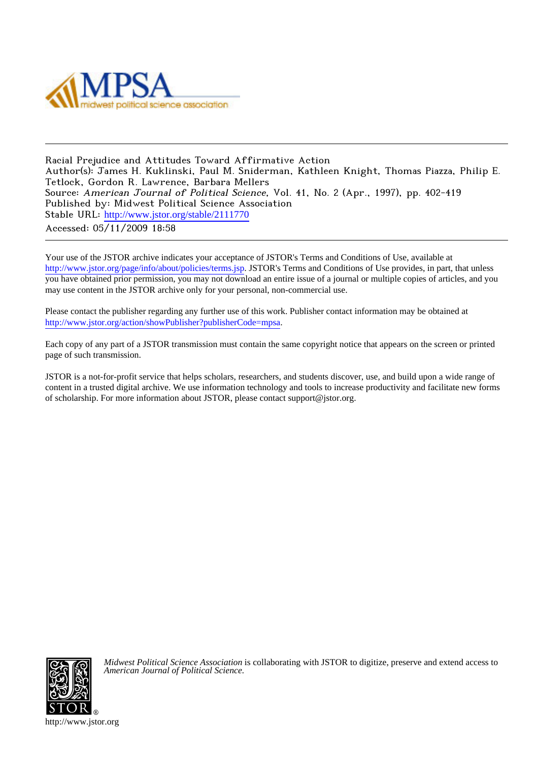

Racial Prejudice and Attitudes Toward Affirmative Action Author(s): James H. Kuklinski, Paul M. Sniderman, Kathleen Knight, Thomas Piazza, Philip E. Tetlock, Gordon R. Lawrence, Barbara Mellers Source: American Journal of Political Science, Vol. 41, No. 2 (Apr., 1997), pp. 402-419 Published by: Midwest Political Science Association Stable URL: [http://www.jstor.org/stable/2111770](http://www.jstor.org/stable/2111770?origin=JSTOR-pdf) Accessed: 05/11/2009 18:58

Your use of the JSTOR archive indicates your acceptance of JSTOR's Terms and Conditions of Use, available at <http://www.jstor.org/page/info/about/policies/terms.jsp>. JSTOR's Terms and Conditions of Use provides, in part, that unless you have obtained prior permission, you may not download an entire issue of a journal or multiple copies of articles, and you may use content in the JSTOR archive only for your personal, non-commercial use.

Please contact the publisher regarding any further use of this work. Publisher contact information may be obtained at <http://www.jstor.org/action/showPublisher?publisherCode=mpsa>.

Each copy of any part of a JSTOR transmission must contain the same copyright notice that appears on the screen or printed page of such transmission.

JSTOR is a not-for-profit service that helps scholars, researchers, and students discover, use, and build upon a wide range of content in a trusted digital archive. We use information technology and tools to increase productivity and facilitate new forms of scholarship. For more information about JSTOR, please contact support@jstor.org.



*Midwest Political Science Association* is collaborating with JSTOR to digitize, preserve and extend access to *American Journal of Political Science.*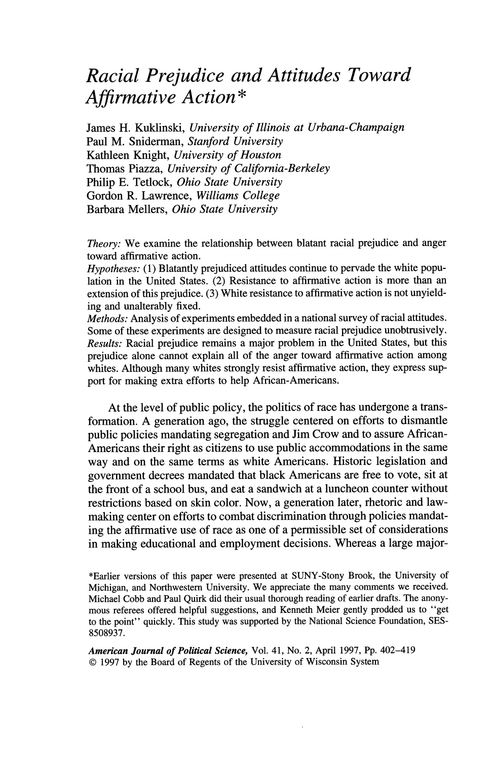# Racial Prejudice and Attitudes Toward Affirmative Action\*

James H. Kuklinski, University of Illinois at Urbana-Champaign Paul M. Sniderman, Stanford University Kathleen Knight, University of Houston Thomas Piazza, University of California-Berkeley Philip E. Tetlock, Ohio State University Gordon R. Lawrence, Williams College Barbara Mellers, Ohio State University

*Theory:* We examine the relationship between blatant racial prejudice and anger toward affirmative action.

*Hypotheses:* (1) Blatantly prejudiced attitudes continue to pervade the white population in the United States. (2) Resistance to affirmative action is more than an extension of this prejudice. (3) White resistance to affirmative action is not unyielding and unalterably fixed.

Methods: Analysis of experiments embedded in a national survey of racial attitudes. Some of these experiments are designed to measure racial prejudice unobtrusively. Results: Racial prejudice remains a major problem in the United States, but this prejudice alone cannot explain all of the anger toward affirmative action among whites. Although many whites strongly resist affirmative action, they express support for making extra efforts to help African-Americans.

At the level of public policy, the politics of race has undergone a transformation. A generation ago, the struggle centered on efforts to dismantle public policies mandating segregation and Jim Crow and to assure African-Americans their right as citizens to use public accommodations in the same way and on the same terms as white Americans. Historic legislation and government decrees mandated that black Americans are free to vote, sit at the front of a school bus, and eat a sandwich at a luncheon counter without restrictions based on skin color. Now, a generation later, rhetoric and lawmaking center on efforts to combat discrimination through policies mandating the affirmative use of race as one of a permissible set of considerations in making educational and employment decisions. Whereas a large major-

\*Earlier versions of this paper were presented at SUNY-Stony Brook, the University of Michigan, and Northwestern University. We appreciate the many comments we received. Michael Cobb and Paul Ouirk did their usual thorough reading of earlier drafts. The anonymous referees offered helpful suggestions, and Kenneth Meier gently prodded us to "get to the point" quickly. This study was supported by the National Science Foundation, SES-8508937.

American Journal of Political Science, Vol. 41, No. 2, April 1997, Pp. 402-419 © 1997 by the Board of Regents of the University of Wisconsin System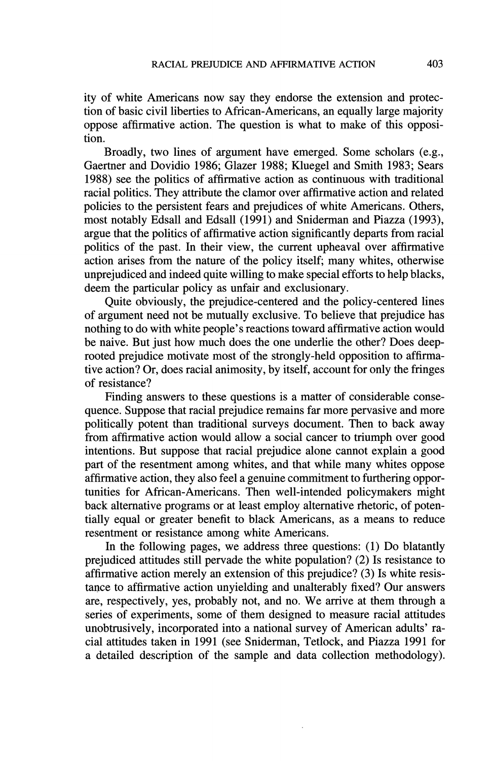ity of white Americans now say they endorse the extension and protection of basic civil liberties to African-Americans, an equally large majority oppose affirmative action. The question is what to make of this opposition.

Broadly, two lines of argument have emerged. Some scholars (e.g., Gaertner and Dovidio 1986; Glazer 1988; Kluegel and Smith 1983; Sears 1988) see the politics of affirmative action as continuous with traditional racial politics. They attribute the clamor over affirmative action and related policies to the persistent fears and prejudices of white Americans. Others, most notably Edsall and Edsall (1991) and Sniderman and Piazza (1993), argue that the politics of affirmative action significantly departs from racial politics of the past. In their view, the current upheaval over affirmative action arises from the nature of the policy itself; many whites, otherwise unprejudiced and indeed quite willing to make special efforts to help blacks, deem the particular policy as unfair and exclusionary.

Quite obviously, the prejudice-centered and the policy-centered lines of argument need not be mutually exclusive. To believe that prejudice has nothing to do with white people's reactions toward affirmative action would be naive. But just how much does the one underlie the other? Does deeprooted prejudice motivate most of the strongly-held opposition to affirmative action? Or, does racial animosity, by itself, account for only the fringes of resistance?

Finding answers to these questions is a matter of considerable consequence. Suppose that racial prejudice remains far more pervasive and more politically potent than traditional surveys document. Then to back away from affirmative action would allow a social cancer to triumph over good intentions. But suppose that racial prejudice alone cannot explain a good part of the resentment among whites, and that while many whites oppose affirmative action, they also feel a genuine commitment to furthering opportunities for African-Americans. Then well-intended policymakers might back alternative programs or at least employ alternative rhetoric, of potentially equal or greater benefit to black Americans, as a means to reduce resentment or resistance among white Americans.

In the following pages, we address three questions: (1) Do blatantly prejudiced attitudes still pervade the white population? (2) Is resistance to affirmative action merely an extension of this prejudice? (3) Is white resistance to affirmative action unyielding and unalterably fixed? Our answers are, respectively, ves, probably not, and no. We arrive at them through a series of experiments, some of them designed to measure racial attitudes unobtrusively, incorporated into a national survey of American adults' racial attitudes taken in 1991 (see Sniderman, Tetlock, and Piazza 1991 for a detailed description of the sample and data collection methodology).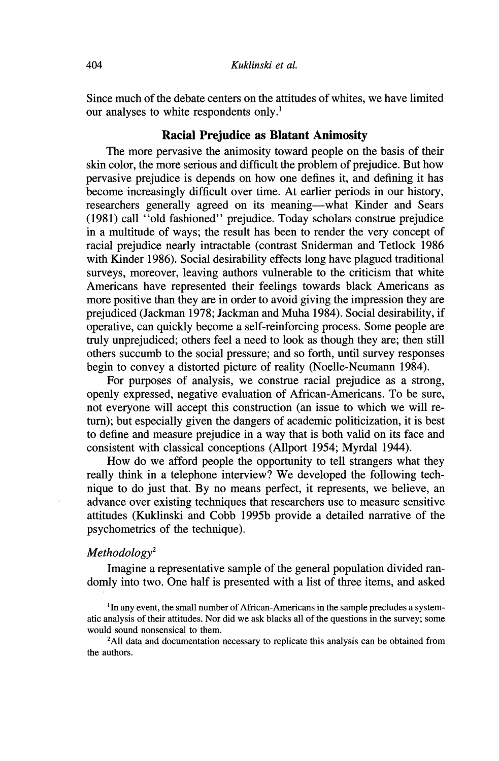Since much of the debate centers on the attitudes of whites, we have limited our analyses to white respondents only.<sup>1</sup>

## **Racial Prejudice as Blatant Animosity**

The more pervasive the animosity toward people on the basis of their skin color, the more serious and difficult the problem of prejudice. But how pervasive prejudice is depends on how one defines it, and defining it has become increasingly difficult over time. At earlier periods in our history, researchers generally agreed on its meaning—what Kinder and Sears (1981) call "old fashioned" prejudice. Today scholars construe prejudice in a multitude of ways; the result has been to render the very concept of racial prejudice nearly intractable (contrast Sniderman and Tetlock 1986) with Kinder 1986). Social desirability effects long have plagued traditional surveys, moreover, leaving authors vulnerable to the criticism that white Americans have represented their feelings towards black Americans as more positive than they are in order to avoid giving the impression they are prejudiced (Jackman 1978; Jackman and Muha 1984). Social desirability, if operative, can quickly become a self-reinforcing process. Some people are truly unprejudiced; others feel a need to look as though they are; then still others succumb to the social pressure; and so forth, until survey responses begin to convey a distorted picture of reality (Noelle-Neumann 1984).

For purposes of analysis, we construe racial prejudice as a strong, openly expressed, negative evaluation of African-Americans. To be sure, not everyone will accept this construction (an issue to which we will return); but especially given the dangers of academic politicization, it is best to define and measure prejudice in a way that is both valid on its face and consistent with classical conceptions (Allport 1954; Myrdal 1944).

How do we afford people the opportunity to tell strangers what they really think in a telephone interview? We developed the following technique to do just that. By no means perfect, it represents, we believe, an advance over existing techniques that researchers use to measure sensitive attitudes (Kuklinski and Cobb 1995b provide a detailed narrative of the psychometrics of the technique).

#### $Methodology<sup>2</sup>$

Imagine a representative sample of the general population divided randomly into two. One half is presented with a list of three items, and asked

<sup>2</sup>All data and documentation necessary to replicate this analysis can be obtained from the authors.

<sup>&</sup>lt;sup>1</sup>In any event, the small number of African-Americans in the sample precludes a systematic analysis of their attitudes. Nor did we ask blacks all of the questions in the survey; some would sound nonsensical to them.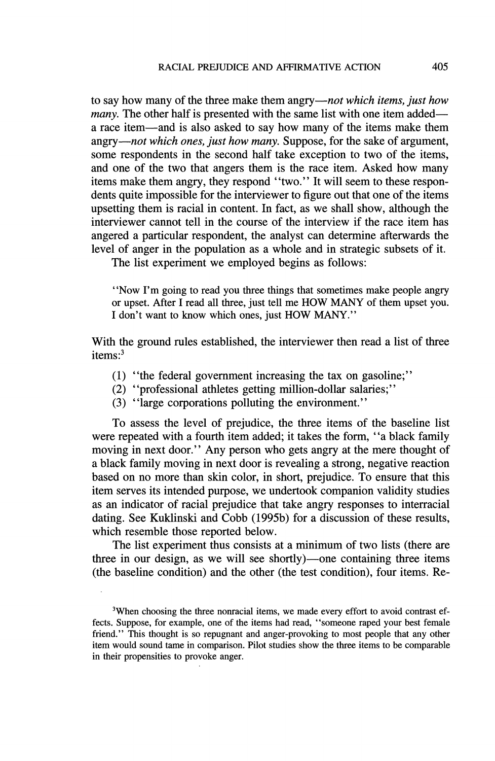to say how many of the three make them angry—not which items, just how *many*. The other half is presented with the same list with one item added a race item—and is also asked to say how many of the items make them angry—not which ones, just how many. Suppose, for the sake of argument, some respondents in the second half take exception to two of the items, and one of the two that angers them is the race item. Asked how many items make them angry, they respond "two." It will seem to these respondents quite impossible for the interviewer to figure out that one of the items upsetting them is racial in content. In fact, as we shall show, although the interviewer cannot tell in the course of the interview if the race item has angered a particular respondent, the analyst can determine afterwards the level of anger in the population as a whole and in strategic subsets of it.

The list experiment we employed begins as follows:

"Now I'm going to read you three things that sometimes make people angry or upset. After I read all three, just tell me HOW MANY of them upset you. I don't want to know which ones, just HOW MANY."

With the ground rules established, the interviewer then read a list of three items: $3$ 

- (1) "the federal government increasing the tax on gasoline;"
- (2) "professional athletes getting million-dollar salaries;"
- (3) "large corporations polluting the environment."

To assess the level of prejudice, the three items of the baseline list were repeated with a fourth item added; it takes the form, "a black family moving in next door." Any person who gets angry at the mere thought of a black family moving in next door is revealing a strong, negative reaction based on no more than skin color, in short, prejudice. To ensure that this item serves its intended purpose, we undertook companion validity studies as an indicator of racial prejudice that take angry responses to interracial dating. See Kuklinski and Cobb (1995b) for a discussion of these results, which resemble those reported below.

The list experiment thus consists at a minimum of two lists (there are three in our design, as we will see shortly)—one containing three items (the baseline condition) and the other (the test condition), four items. Re-

<sup>&</sup>lt;sup>3</sup>When choosing the three nonracial items, we made every effort to avoid contrast effects. Suppose, for example, one of the items had read, "someone raped your best female friend." This thought is so repugnant and anger-provoking to most people that any other item would sound tame in comparison. Pilot studies show the three items to be comparable in their propensities to provoke anger.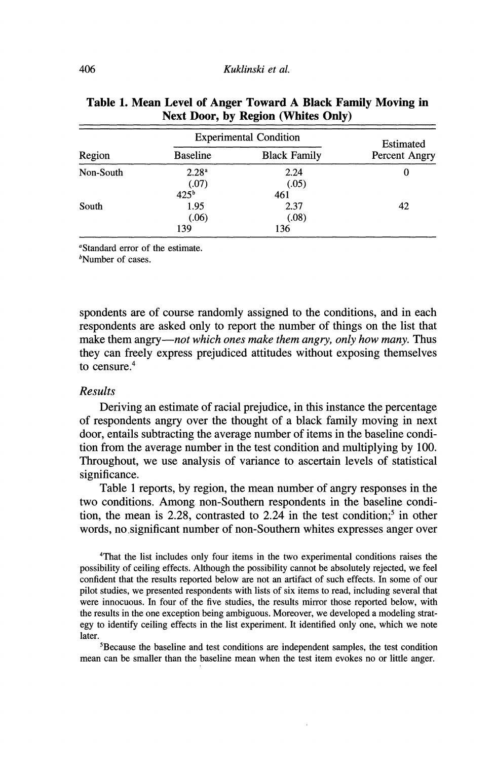|           | <b>Experimental Condition</b> | Estimated            |               |
|-----------|-------------------------------|----------------------|---------------|
| Region    | <b>Baseline</b>               | <b>Black Family</b>  | Percent Angry |
| Non-South | 2.28 <sup>a</sup><br>(.07)    | 2.24<br>(.05)        | 0             |
|           | 425 <sup>b</sup>              | 461                  |               |
| South     | 1.95<br>(.06)<br>139          | 2.37<br>(.08)<br>136 | 42            |

#### Table 1. Mean Level of Anger Toward A Black Family Moving in **Next Door, by Region (Whites Only)**

"Standard error of the estimate.

 $<sup>b</sup>$ Number of cases.</sup>

spondents are of course randomly assigned to the conditions, and in each respondents are asked only to report the number of things on the list that make them angry—not which ones make them angry, only how many. Thus they can freely express prejudiced attitudes without exposing themselves to censure. $4$ 

#### **Results**

Deriving an estimate of racial prejudice, in this instance the percentage of respondents angry over the thought of a black family moving in next door, entails subtracting the average number of items in the baseline condition from the average number in the test condition and multiplying by 100. Throughout, we use analysis of variance to ascertain levels of statistical significance.

Table 1 reports, by region, the mean number of angry responses in the two conditions. Among non-Southern respondents in the baseline condition, the mean is 2.28, contrasted to 2.24 in the test condition;<sup>5</sup> in other words, no significant number of non-Southern whites expresses anger over

<sup>4</sup>That the list includes only four items in the two experimental conditions raises the possibility of ceiling effects. Although the possibility cannot be absolutely rejected, we feel confident that the results reported below are not an artifact of such effects. In some of our pilot studies, we presented respondents with lists of six items to read, including several that were innocuous. In four of the five studies, the results mirror those reported below, with the results in the one exception being ambiguous. Moreover, we developed a modeling strategy to identify ceiling effects in the list experiment. It identified only one, which we note later.

<sup>5</sup>Because the baseline and test conditions are independent samples, the test condition mean can be smaller than the baseline mean when the test item evokes no or little anger.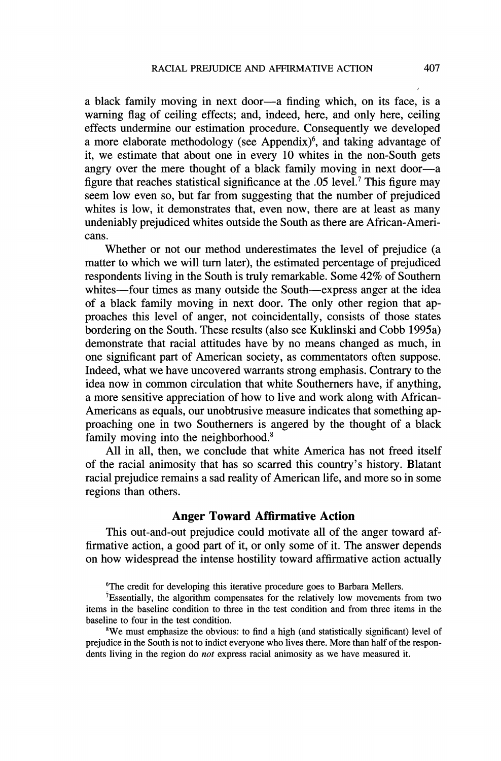a black family moving in next door—a finding which, on its face, is a warning flag of ceiling effects; and, indeed, here, and only here, ceiling effects undermine our estimation procedure. Consequently we developed a more elaborate methodology (see Appendix)<sup>6</sup>, and taking advantage of it, we estimate that about one in every 10 whites in the non-South gets angry over the mere thought of a black family moving in next door—a figure that reaches statistical significance at the .05 level.<sup>7</sup> This figure may seem low even so, but far from suggesting that the number of prejudiced whites is low, it demonstrates that, even now, there are at least as many undeniably prejudiced whites outside the South as there are African-Americans.

Whether or not our method underestimates the level of prejudice (a matter to which we will turn later), the estimated percentage of prejudiced respondents living in the South is truly remarkable. Some 42% of Southern whites—four times as many outside the South—express anger at the idea of a black family moving in next door. The only other region that approaches this level of anger, not coincidentally, consists of those states bordering on the South. These results (also see Kuklinski and Cobb 1995a) demonstrate that racial attitudes have by no means changed as much, in one significant part of American society, as commentators often suppose. Indeed, what we have uncovered warrants strong emphasis. Contrary to the idea now in common circulation that white Southerners have, if anything, a more sensitive appreciation of how to live and work along with African-Americans as equals, our unobtrusive measure indicates that something approaching one in two Southerners is angered by the thought of a black family moving into the neighborhood.<sup>8</sup>

All in all, then, we conclude that white America has not freed itself of the racial animosity that has so scarred this country's history. Blatant racial prejudice remains a sad reality of American life, and more so in some regions than others.

# **Anger Toward Affirmative Action**

This out-and-out prejudice could motivate all of the anger toward affirmative action, a good part of it, or only some of it. The answer depends on how widespread the intense hostility toward affirmative action actually

<sup>6</sup>The credit for developing this iterative procedure goes to Barbara Mellers.

 ${}^{7}$ Essentially, the algorithm compensates for the relatively low movements from two items in the baseline condition to three in the test condition and from three items in the baseline to four in the test condition.

<sup>8</sup>We must emphasize the obvious: to find a high (and statistically significant) level of prejudice in the South is not to indict everyone who lives there. More than half of the respondents living in the region do *not* express racial animosity as we have measured it.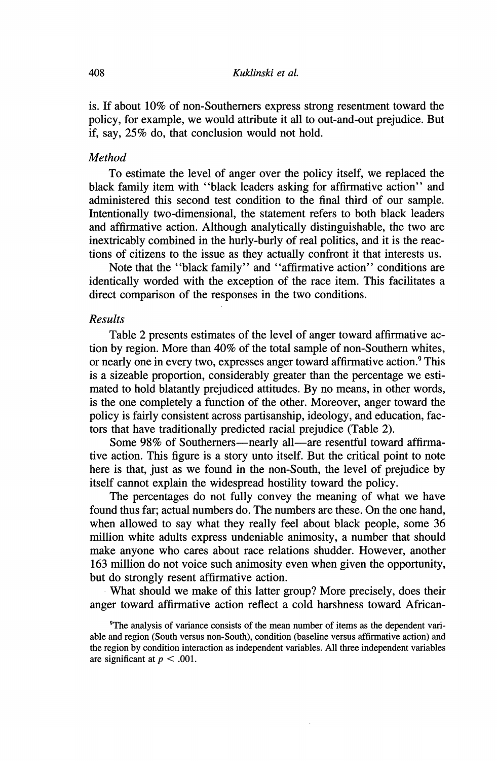is. If about 10% of non-Southerners express strong resentment toward the policy, for example, we would attribute it all to out-and-out prejudice. But if, say, 25% do, that conclusion would not hold.

#### **Method**

To estimate the level of anger over the policy itself, we replaced the black family item with "black leaders asking for affirmative action" and administered this second test condition to the final third of our sample. Intentionally two-dimensional, the statement refers to both black leaders and affirmative action. Although analytically distinguishable, the two are inextricably combined in the hurly-burly of real politics, and it is the reactions of citizens to the issue as they actually confront it that interests us.

Note that the "black family" and "affirmative action" conditions are identically worded with the exception of the race item. This facilitates a direct comparison of the responses in the two conditions.

#### **Results**

Table 2 presents estimates of the level of anger toward affirmative action by region. More than 40% of the total sample of non-Southern whites, or nearly one in every two, expresses anger toward affirmative action.<sup>9</sup> This is a sizeable proportion, considerably greater than the percentage we estimated to hold blatantly prejudiced attitudes. By no means, in other words, is the one completely a function of the other. Moreover, anger toward the policy is fairly consistent across partisanship, ideology, and education, factors that have traditionally predicted racial prejudice (Table 2).

Some 98% of Southerners—nearly all—are resentful toward affirmative action. This figure is a story unto itself. But the critical point to note here is that, just as we found in the non-South, the level of prejudice by itself cannot explain the widespread hostility toward the policy.

The percentages do not fully convey the meaning of what we have found thus far: actual numbers do. The numbers are these. On the one hand, when allowed to say what they really feel about black people, some 36 million white adults express undeniable animosity, a number that should make anyone who cares about race relations shudder. However, another 163 million do not voice such animosity even when given the opportunity, but do strongly resent affirmative action.

What should we make of this latter group? More precisely, does their anger toward affirmative action reflect a cold harshness toward African-

<sup>&</sup>lt;sup>9</sup>The analysis of variance consists of the mean number of items as the dependent variable and region (South versus non-South), condition (baseline versus affirmative action) and the region by condition interaction as independent variables. All three independent variables are significant at  $p < .001$ .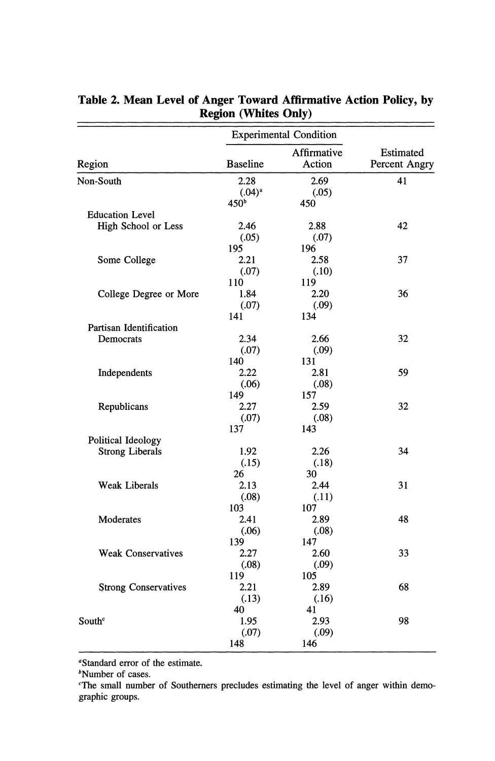|                             | <b>Experimental Condition</b>           |                             |                            |
|-----------------------------|-----------------------------------------|-----------------------------|----------------------------|
| Region                      | <b>Baseline</b>                         | Affirmative<br>Action       | Estimated<br>Percent Angry |
| Non-South                   | 2.28<br>$(.04)^{a}$<br>450 <sup>b</sup> | 2.69<br>(.05)<br>450        | 41                         |
| <b>Education Level</b>      |                                         |                             |                            |
| High School or Less         | 2.46<br>(.05)<br>195                    | 2.88<br>(.07)<br>196        | 42                         |
| Some College                | 2.21<br>(.07)                           | 2.58<br>(.10)               | 37                         |
| College Degree or More      | 110<br>1.84<br>(.07)<br>141             | 119<br>2.20<br>(.09)<br>134 | 36                         |
| Partisan Identification     |                                         |                             |                            |
| Democrats                   | 2.34<br>(.07)                           | 2.66<br>(.09)               | 32                         |
| Independents                | 140<br>2.22<br>(.06)                    | 131<br>2.81<br>(.08)        | 59                         |
| Republicans                 | 149<br>2.27<br>(.07)<br>137             | 157<br>2.59<br>(.08)<br>143 | 32                         |
| Political Ideology          |                                         |                             |                            |
| <b>Strong Liberals</b>      | 1.92<br>(.15)                           | 2.26<br>(.18)               | 34                         |
| Weak Liberals               | 26<br>2.13<br>(.08)                     | 30<br>2.44<br>(.11)         | 31                         |
| Moderates                   | 103<br>2.41<br>(.06)                    | 107<br>2.89<br>(.08)        | 48                         |
| <b>Weak Conservatives</b>   | 139<br>2.27<br>(.08)                    | 147<br>2.60<br>(.09)        | 33                         |
| <b>Strong Conservatives</b> | 119<br>2.21<br>(.13)                    | 105<br>2.89<br>(.16)        | 68                         |
| South <sup>c</sup>          | 40<br>1.95<br>(.07)<br>148              | 41<br>2.93<br>(.09)<br>146  | 98                         |

#### Table 2. Mean Level of Anger Toward Affirmative Action Policy, by **Region (Whites Only)** .

"Standard error of the estimate.

<sup>b</sup>Number of cases.

The small number of Southerners precludes estimating the level of anger within demographic groups.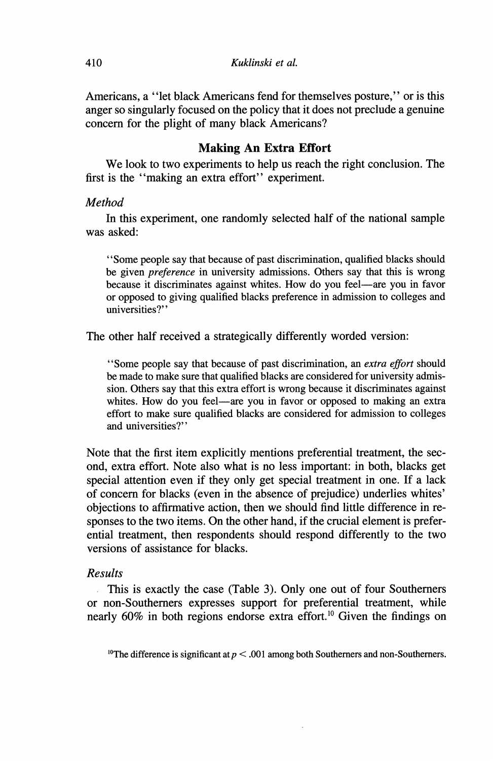Americans, a "let black Americans fend for themselves posture," or is this anger so singularly focused on the policy that it does not preclude a genuine concern for the plight of many black Americans?

#### **Making An Extra Effort**

We look to two experiments to help us reach the right conclusion. The first is the "making an extra effort" experiment.

#### Method

In this experiment, one randomly selected half of the national sample was asked:

"Some people say that because of past discrimination, qualified blacks should be given *preference* in university admissions. Others say that this is wrong because it discriminates against whites. How do you feel—are you in favor or opposed to giving qualified blacks preference in admission to colleges and universities?"

The other half received a strategically differently worded version:

"Some people say that because of past discrimination, an extra effort should be made to make sure that qualified blacks are considered for university admission. Others say that this extra effort is wrong because it discriminates against whites. How do you feel—are you in favor or opposed to making an extra effort to make sure qualified blacks are considered for admission to colleges and universities?"

Note that the first item explicitly mentions preferential treatment, the second, extra effort. Note also what is no less important: in both, blacks get special attention even if they only get special treatment in one. If a lack of concern for blacks (even in the absence of prejudice) underlies whites' objections to affirmative action, then we should find little difference in responses to the two items. On the other hand, if the crucial element is preferential treatment, then respondents should respond differently to the two versions of assistance for blacks.

#### **Results**

This is exactly the case (Table 3). Only one out of four Southerners or non-Southerners expresses support for preferential treatment, while nearly 60% in both regions endorse extra effort.<sup>10</sup> Given the findings on

<sup>10</sup>The difference is significant at  $p < .001$  among both Southerners and non-Southerners.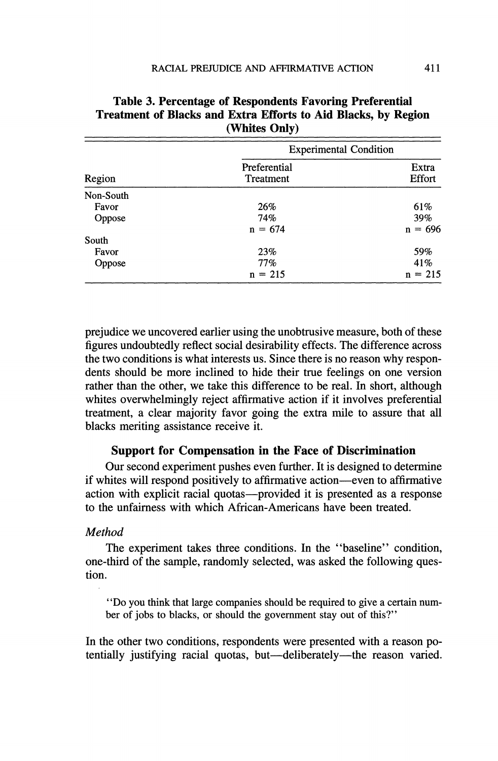|           | <b>Experimental Condition</b> |                 |  |
|-----------|-------------------------------|-----------------|--|
| Region    | Preferential<br>Treatment     | Extra<br>Effort |  |
| Non-South |                               |                 |  |
| Favor     | 26%                           | 61%             |  |
| Oppose    | 74%                           | 39%             |  |
|           | $n = 674$                     | $n = 696$       |  |
| South     |                               |                 |  |
| Favor     | 23%                           | 59%             |  |
| Oppose    | 77%                           | 41\%            |  |
|           | $n = 215$                     | $n = 215$       |  |

## Table 3. Percentage of Respondents Favoring Preferential **Treatment of Blacks and Extra Efforts to Aid Blacks, by Region** (Whites Only)

prejudice we uncovered earlier using the unobtrusive measure, both of these figures undoubtedly reflect social desirability effects. The difference across the two conditions is what interests us. Since there is no reason why respondents should be more inclined to hide their true feelings on one version rather than the other, we take this difference to be real. In short, although whites overwhelmingly reject affirmative action if it involves preferential treatment, a clear majority favor going the extra mile to assure that all blacks meriting assistance receive it.

## **Support for Compensation in the Face of Discrimination**

Our second experiment pushes even further. It is designed to determine if whites will respond positively to affirmative action—even to affirmative action with explicit racial quotas—provided it is presented as a response to the unfairness with which African-Americans have been treated.

#### Method

The experiment takes three conditions. In the "baseline" condition, one-third of the sample, randomly selected, was asked the following question.

"Do you think that large companies should be required to give a certain number of jobs to blacks, or should the government stay out of this?"

In the other two conditions, respondents were presented with a reason potentially justifying racial quotas, but—deliberately—the reason varied.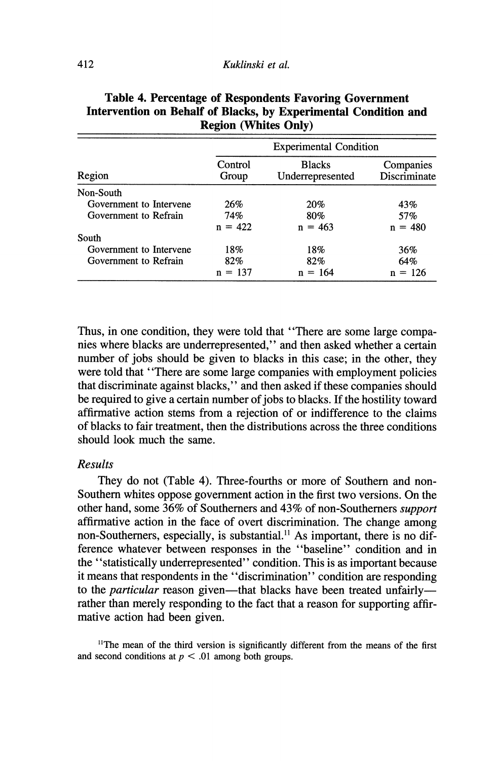|                         | <b>Experimental Condition</b> |                                   |                           |  |
|-------------------------|-------------------------------|-----------------------------------|---------------------------|--|
| Region                  | Control<br>Group              | <b>Blacks</b><br>Underrepresented | Companies<br>Discriminate |  |
| Non-South               |                               |                                   |                           |  |
| Government to Intervene | 26%                           | 20%                               | 43%                       |  |
| Government to Refrain   | 74%                           | 80%                               | 57%                       |  |
|                         | $n = 422$                     | $n = 463$                         | $n = 480$                 |  |
| South                   |                               |                                   |                           |  |
| Government to Intervene | 18%                           | 18%                               | 36%                       |  |
| Government to Refrain   | 82%                           | 82%                               | 64%                       |  |
|                         | $n = 137$                     | $= 164$<br>n                      | $= 126$<br>n              |  |

# Table 4. Percentage of Respondents Favoring Government Intervention on Behalf of Blacks, by Experimental Condition and **Region (Whites Only)**

Thus, in one condition, they were told that "There are some large companies where blacks are underrepresented," and then asked whether a certain number of jobs should be given to blacks in this case; in the other, they were told that "There are some large companies with employment policies" that discriminate against blacks," and then asked if these companies should be required to give a certain number of jobs to blacks. If the hostility toward affirmative action stems from a rejection of or indifference to the claims of blacks to fair treatment, then the distributions across the three conditions should look much the same.

## **Results**

They do not (Table 4). Three-fourths or more of Southern and non-Southern whites oppose government action in the first two versions. On the other hand, some 36% of Southerners and 43% of non-Southerners support affirmative action in the face of overt discrimination. The change among non-Southerners, especially, is substantial.<sup>11</sup> As important, there is no difference whatever between responses in the "baseline" condition and in the "statistically underrepresented" condition. This is as important because it means that respondents in the "discrimination" condition are responding to the *particular* reason given—that blacks have been treated unfairly rather than merely responding to the fact that a reason for supporting affirmative action had been given.

<sup>11</sup>The mean of the third version is significantly different from the means of the first and second conditions at  $p < .01$  among both groups.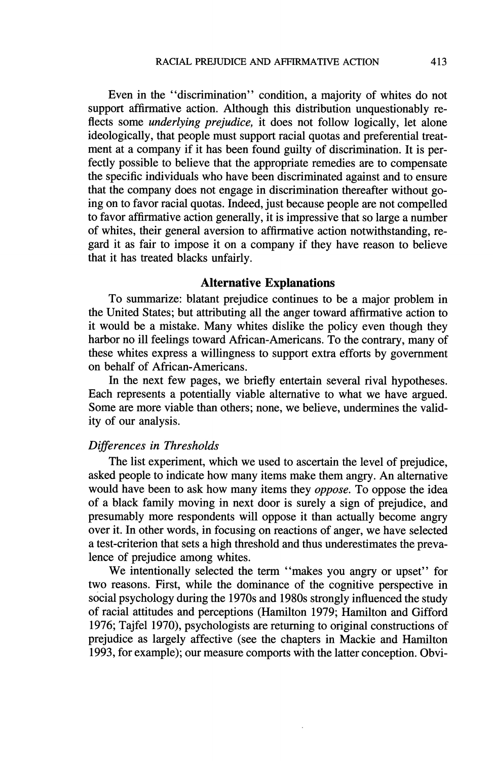Even in the "discrimination" condition, a majority of whites do not support affirmative action. Although this distribution unquestionably reflects some *underlying prejudice*, it does not follow logically, let alone ideologically, that people must support racial quotas and preferential treatment at a company if it has been found guilty of discrimination. It is perfectly possible to believe that the appropriate remedies are to compensate the specific individuals who have been discriminated against and to ensure that the company does not engage in discrimination thereafter without going on to favor racial quotas. Indeed, just because people are not compelled to favor affirmative action generally, it is impressive that so large a number of whites, their general aversion to affirmative action notwithstanding, regard it as fair to impose it on a company if they have reason to believe that it has treated blacks unfairly.

#### **Alternative Explanations**

To summarize: blatant prejudice continues to be a major problem in the United States; but attributing all the anger toward affirmative action to it would be a mistake. Many whites dislike the policy even though they harbor no ill feelings toward African-Americans. To the contrary, many of these whites express a willingness to support extra efforts by government on behalf of African-Americans.

In the next few pages, we briefly entertain several rival hypotheses. Each represents a potentially viable alternative to what we have argued. Some are more viable than others; none, we believe, undermines the validity of our analysis.

#### Differences in Thresholds

The list experiment, which we used to ascertain the level of prejudice, asked people to indicate how many items make them angry. An alternative would have been to ask how many items they *oppose*. To oppose the idea of a black family moving in next door is surely a sign of prejudice, and presumably more respondents will oppose it than actually become angry over it. In other words, in focusing on reactions of anger, we have selected a test-criterion that sets a high threshold and thus underestimates the prevalence of prejudice among whites.

We intentionally selected the term "makes you angry or upset" for two reasons. First, while the dominance of the cognitive perspective in social psychology during the 1970s and 1980s strongly influenced the study of racial attitudes and perceptions (Hamilton 1979; Hamilton and Gifford 1976; Tajfel 1970), psychologists are returning to original constructions of prejudice as largely affective (see the chapters in Mackie and Hamilton 1993, for example); our measure comports with the latter conception. Obvi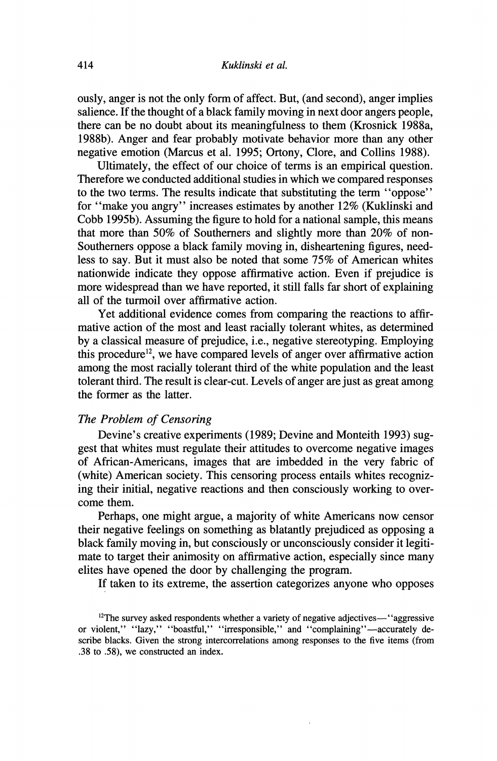ously, anger is not the only form of affect. But, (and second), anger implies salience. If the thought of a black family moving in next door angers people. there can be no doubt about its meaningfulness to them (Krosnick 1988a, 1988b). Anger and fear probably motivate behavior more than any other negative emotion (Marcus et al. 1995; Ortony, Clore, and Collins 1988).

Ultimately, the effect of our choice of terms is an empirical question. Therefore we conducted additional studies in which we compared responses to the two terms. The results indicate that substituting the term "oppose" for "make you angry" increases estimates by another 12% (Kuklinski and Cobb 1995b). Assuming the figure to hold for a national sample, this means that more than 50% of Southerners and slightly more than 20% of non-Southerners oppose a black family moving in, disheartening figures, needless to say. But it must also be noted that some 75% of American whites nationwide indicate they oppose affirmative action. Even if prejudice is more widespread than we have reported, it still falls far short of explaining all of the turmoil over affirmative action.

Yet additional evidence comes from comparing the reactions to affirmative action of the most and least racially tolerant whites, as determined by a classical measure of prejudice, *i.e.*, negative stereotyping. Employing this procedure<sup>12</sup>, we have compared levels of anger over affirmative action among the most racially tolerant third of the white population and the least tolerant third. The result is clear-cut. Levels of anger are just as great among the former as the latter.

## The Problem of Censoring

Devine's creative experiments (1989; Devine and Monteith 1993) suggest that whites must regulate their attitudes to overcome negative images of African-Americans, images that are imbedded in the very fabric of (white) American society. This censoring process entails whites recognizing their initial, negative reactions and then consciously working to overcome them.

Perhaps, one might argue, a majority of white Americans now censor their negative feelings on something as blatantly prejudiced as opposing a black family moving in, but consciously or unconsciously consider it legitimate to target their animosity on affirmative action, especially since many elites have opened the door by challenging the program.

If taken to its extreme, the assertion categorizes anyone who opposes

 $12$ The survey asked respondents whether a variety of negative adjectives—"aggressive or violent," "lazy," "boastful," "irresponsible," and "complaining"-accurately describe blacks. Given the strong intercorrelations among responses to the five items (from .38 to .58), we constructed an index.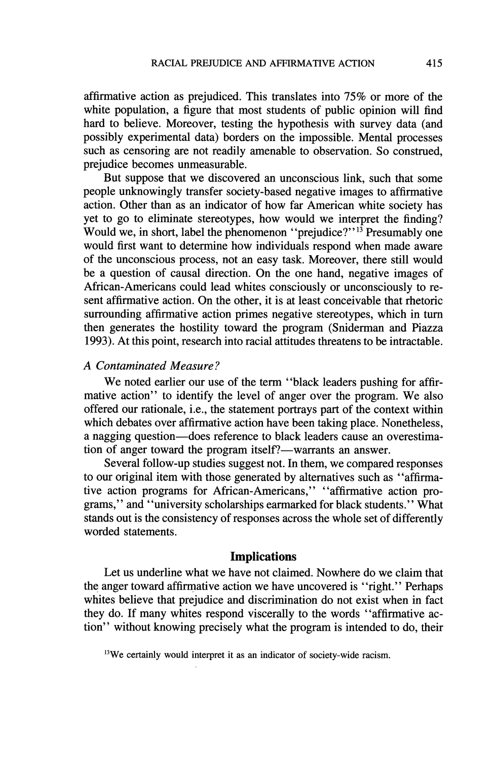affirmative action as prejudiced. This translates into 75% or more of the white population, a figure that most students of public opinion will find hard to believe. Moreover, testing the hypothesis with survey data (and possibly experimental data) borders on the impossible. Mental processes such as censoring are not readily amenable to observation. So construed, prejudice becomes unmeasurable.

But suppose that we discovered an unconscious link, such that some people unknowingly transfer society-based negative images to affirmative action. Other than as an indicator of how far American white society has vet to go to eliminate stereotypes, how would we interpret the finding? Would we, in short, label the phenomenon "prejudice?"<sup>13</sup> Presumably one would first want to determine how individuals respond when made aware of the unconscious process, not an easy task. Moreover, there still would be a question of causal direction. On the one hand, negative images of African-Americans could lead whites consciously or unconsciously to resent affirmative action. On the other, it is at least conceivable that rhetoric surrounding affirmative action primes negative stereotypes, which in turn then generates the hostility toward the program (Sniderman and Piazza 1993). At this point, research into racial attitudes threatens to be intractable.

# A Contaminated Measure?

We noted earlier our use of the term "black leaders pushing for affirmative action" to identify the level of anger over the program. We also offered our rationale, i.e., the statement portrays part of the context within which debates over affirmative action have been taking place. Nonetheless, a nagging question—does reference to black leaders cause an overestimation of anger toward the program itself?—warrants an answer.

Several follow-up studies suggest not. In them, we compared responses to our original item with those generated by alternatives such as "affirmative action programs for African-Americans," "affirmative action programs," and "university scholarships earmarked for black students." What stands out is the consistency of responses across the whole set of differently worded statements.

## **Implications**

Let us underline what we have not claimed. Nowhere do we claim that the anger toward affirmative action we have uncovered is "right." Perhaps whites believe that prejudice and discrimination do not exist when in fact they do. If many whites respond viscerally to the words "affirmative action" without knowing precisely what the program is intended to do, their

<sup>13</sup>We certainly would interpret it as an indicator of society-wide racism.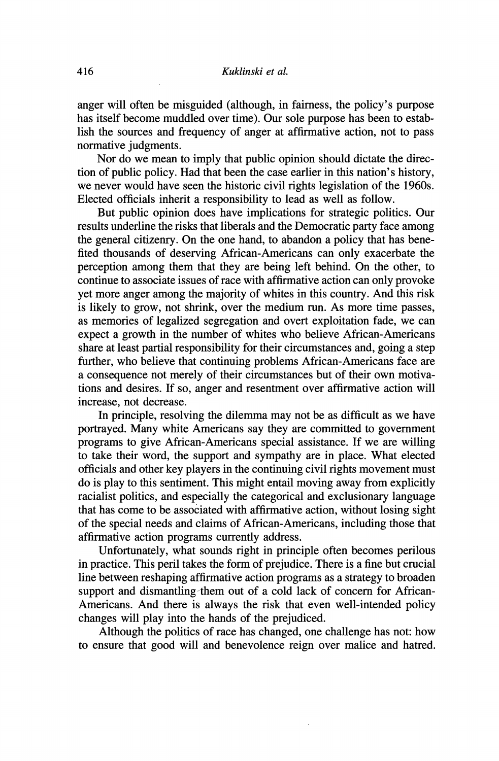anger will often be misguided (although, in fairness, the policy's purpose has itself become muddled over time). Our sole purpose has been to establish the sources and frequency of anger at affirmative action, not to pass normative judgments.

Nor do we mean to imply that public opinion should dictate the direction of public policy. Had that been the case earlier in this nation's history, we never would have seen the historic civil rights legislation of the 1960s. Elected officials inherit a responsibility to lead as well as follow.

But public opinion does have implications for strategic politics. Our results underline the risks that liberals and the Democratic party face among the general citizenry. On the one hand, to abandon a policy that has benefited thousands of deserving African-Americans can only exacerbate the perception among them that they are being left behind. On the other, to continue to associate issues of race with affirmative action can only provoke yet more anger among the majority of whites in this country. And this risk is likely to grow, not shrink, over the medium run. As more time passes, as memories of legalized segregation and overt exploitation fade, we can expect a growth in the number of whites who believe African-Americans share at least partial responsibility for their circumstances and, going a step further, who believe that continuing problems African-Americans face are a consequence not merely of their circumstances but of their own motivations and desires. If so, anger and resentment over affirmative action will increase, not decrease.

In principle, resolving the dilemma may not be as difficult as we have portrayed. Many white Americans say they are committed to government programs to give African-Americans special assistance. If we are willing to take their word, the support and sympathy are in place. What elected officials and other key players in the continuing civil rights movement must do is play to this sentiment. This might entail moving away from explicitly racialist politics, and especially the categorical and exclusionary language that has come to be associated with affirmative action, without losing sight of the special needs and claims of African-Americans, including those that affirmative action programs currently address.

Unfortunately, what sounds right in principle often becomes perilous in practice. This peril takes the form of prejudice. There is a fine but crucial line between reshaping affirmative action programs as a strategy to broaden support and dismantling them out of a cold lack of concern for African-Americans. And there is always the risk that even well-intended policy changes will play into the hands of the prejudiced.

Although the politics of race has changed, one challenge has not: how to ensure that good will and benevolence reign over malice and hatred.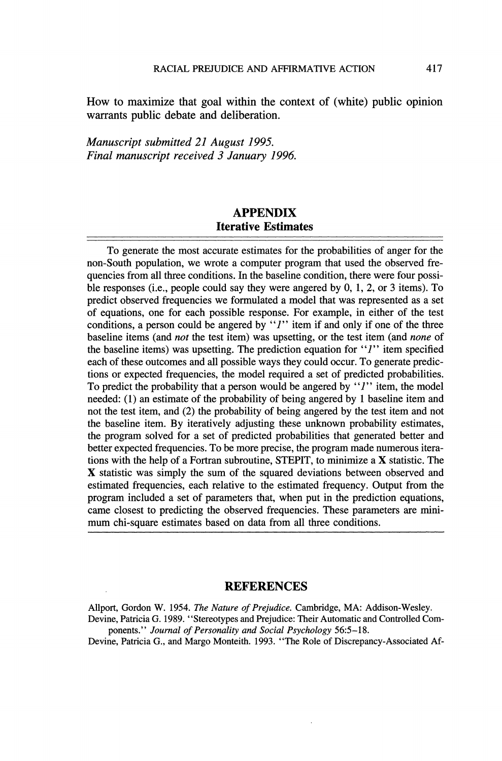How to maximize that goal within the context of (white) public opinion warrants public debate and deliberation.

Manuscript submitted 21 August 1995. Final manuscript received 3 January 1996.

# **APPENDIX Iterative Estimates**

To generate the most accurate estimates for the probabilities of anger for the non-South population, we wrote a computer program that used the observed frequencies from all three conditions. In the baseline condition, there were four possible responses (i.e., people could say they were angered by  $0, 1, 2$ , or  $3$  items). To predict observed frequencies we formulated a model that was represented as a set of equations, one for each possible response. For example, in either of the test conditions, a person could be angered by "*l*" item if and only if one of the three baseline items (and *not* the test item) was upsetting, or the test item (and *none* of the baseline items) was upsetting. The prediction equation for "*I*" item specified each of these outcomes and all possible ways they could occur. To generate predictions or expected frequencies, the model required a set of predicted probabilities. To predict the probability that a person would be angered by " $l$ " item, the model needed: (1) an estimate of the probability of being angered by 1 baseline item and not the test item, and (2) the probability of being angered by the test item and not the baseline item. By iteratively adjusting these unknown probability estimates, the program solved for a set of predicted probabilities that generated better and better expected frequencies. To be more precise, the program made numerous iterations with the help of a Fortran subroutine, STEPIT, to minimize a X statistic. The X statistic was simply the sum of the squared deviations between observed and estimated frequencies, each relative to the estimated frequency. Output from the program included a set of parameters that, when put in the prediction equations, came closest to predicting the observed frequencies. These parameters are minimum chi-square estimates based on data from all three conditions.

#### **REFERENCES**

Allport, Gordon W. 1954. The Nature of Prejudice. Cambridge, MA: Addison-Wesley. Devine, Patricia G. 1989. "Stereotypes and Prejudice: Their Automatic and Controlled Com-

ponents." Journal of Personality and Social Psychology 56:5-18. Devine, Patricia G., and Margo Monteith. 1993. "The Role of Discrepancy-Associated Af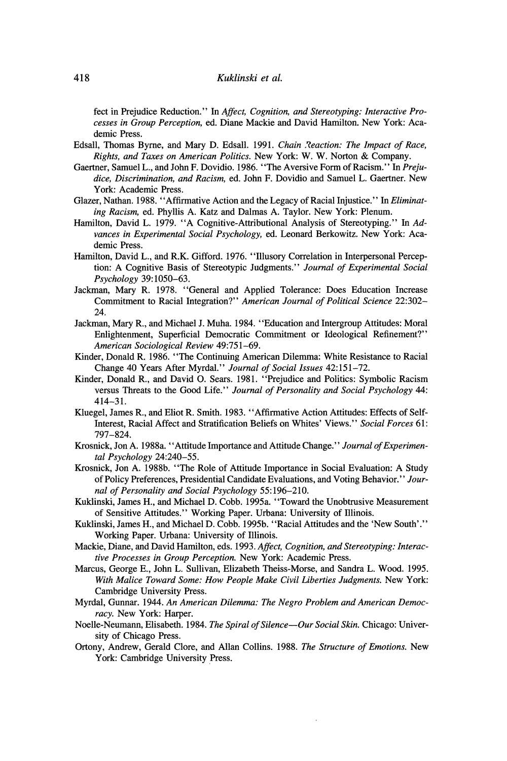fect in Prejudice Reduction." In Affect, Cognition, and Stereotyping: Interactive Processes in Group Perception, ed. Diane Mackie and David Hamilton. New York: Academic Press.

- Edsall, Thomas Byrne, and Mary D. Edsall, 1991. Chain Reaction: The Impact of Race, Rights, and Taxes on American Politics. New York: W. W. Norton & Company.
- Gaertner, Samuel L., and John F. Dovidio. 1986. "The Aversive Form of Racism." In Prejudice, Discrimination, and Racism, ed. John F. Dovidio and Samuel L. Gaertner. New York: Academic Press.
- Glazer, Nathan. 1988. "Affirmative Action and the Legacy of Racial Injustice." In Eliminating Racism, ed. Phyllis A. Katz and Dalmas A. Taylor. New York: Plenum.
- Hamilton, David L. 1979. "A Cognitive-Attributional Analysis of Stereotyping." In Advances in Experimental Social Psychology, ed. Leonard Berkowitz. New York: Academic Press.
- Hamilton, David L., and R.K. Gifford. 1976. "Illusory Correlation in Interpersonal Perception: A Cognitive Basis of Stereotypic Judgments." Journal of Experimental Social Psychology 39:1050-63.
- Jackman, Mary R. 1978. "General and Applied Tolerance: Does Education Increase Commitment to Racial Integration?" American Journal of Political Science 22:302-24.
- Jackman, Mary R., and Michael J. Muha. 1984. "Education and Intergroup Attitudes: Moral Enlightenment, Superficial Democratic Commitment or Ideological Refinement?" American Sociological Review 49:751-69.
- Kinder, Donald R. 1986. "The Continuing American Dilemma: White Resistance to Racial Change 40 Years After Myrdal." Journal of Social Issues 42:151-72.
- Kinder, Donald R., and David O. Sears. 1981. "Prejudice and Politics: Symbolic Racism versus Threats to the Good Life." Journal of Personality and Social Psychology 44:  $414 - 31$
- Kluegel, James R., and Eliot R. Smith. 1983. "Affirmative Action Attitudes: Effects of Self-Interest, Racial Affect and Stratification Beliefs on Whites' Views." Social Forces 61: 797-824.
- Krosnick, Jon A. 1988a. "Attitude Importance and Attitude Change." Journal of Experimental Psychology 24:240-55.
- Krosnick, Jon A. 1988b. "The Role of Attitude Importance in Social Evaluation: A Study of Policy Preferences, Presidential Candidate Evaluations, and Voting Behavior." Journal of Personality and Social Psychology 55:196-210.
- Kuklinski, James H., and Michael D. Cobb. 1995a. "Toward the Unobtrusive Measurement of Sensitive Attitudes." Working Paper. Urbana: University of Illinois.
- Kuklinski, James H., and Michael D. Cobb. 1995b. "Racial Attitudes and the 'New South'." Working Paper. Urbana: University of Illinois.
- Mackie, Diane, and David Hamilton, eds. 1993. Affect, Cognition, and Stereotyping: Interactive Processes in Group Perception. New York: Academic Press.
- Marcus, George E., John L. Sullivan, Elizabeth Theiss-Morse, and Sandra L. Wood. 1995. With Malice Toward Some: How People Make Civil Liberties Judgments. New York: Cambridge University Press.
- Myrdal, Gunnar. 1944. An American Dilemma: The Negro Problem and American Democracy. New York: Harper.
- Noelle-Neumann, Elisabeth. 1984. The Spiral of Silence—Our Social Skin. Chicago: University of Chicago Press.
- Ortony, Andrew, Gerald Clore, and Allan Collins. 1988. The Structure of Emotions. New York: Cambridge University Press.